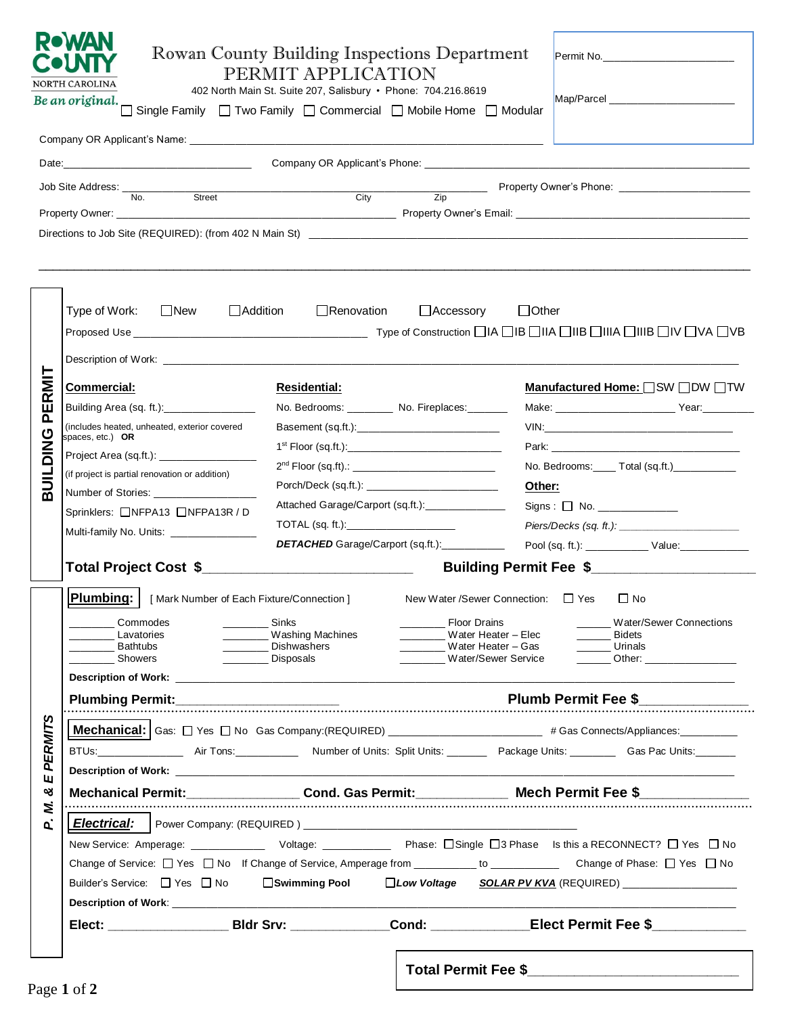| <b>ROWAN</b><br>Rowan County Building Inspections Department<br>Permit No.<br>DUNIT<br>PERMIT APPLICATION<br>NORTH CAROLINA<br>402 North Main St. Suite 207, Salisbury · Phone: 704.216.8619<br>Be an original.<br>Single Family □ Two Family □ Commercial □ Mobile Home □ Modular |                                                                                                                                                                                                                                                     |                                                                               |                                                                                                    |                                                                                                                                                                                                                                                                                                                                                                                                                                                                                                                                                               |  |  |
|------------------------------------------------------------------------------------------------------------------------------------------------------------------------------------------------------------------------------------------------------------------------------------|-----------------------------------------------------------------------------------------------------------------------------------------------------------------------------------------------------------------------------------------------------|-------------------------------------------------------------------------------|----------------------------------------------------------------------------------------------------|---------------------------------------------------------------------------------------------------------------------------------------------------------------------------------------------------------------------------------------------------------------------------------------------------------------------------------------------------------------------------------------------------------------------------------------------------------------------------------------------------------------------------------------------------------------|--|--|
|                                                                                                                                                                                                                                                                                    |                                                                                                                                                                                                                                                     |                                                                               |                                                                                                    |                                                                                                                                                                                                                                                                                                                                                                                                                                                                                                                                                               |  |  |
|                                                                                                                                                                                                                                                                                    |                                                                                                                                                                                                                                                     |                                                                               |                                                                                                    |                                                                                                                                                                                                                                                                                                                                                                                                                                                                                                                                                               |  |  |
|                                                                                                                                                                                                                                                                                    | Job Site Address: __<br>No.<br>Street                                                                                                                                                                                                               | $\overline{\phantom{a}}$<br>City                                              |                                                                                                    |                                                                                                                                                                                                                                                                                                                                                                                                                                                                                                                                                               |  |  |
|                                                                                                                                                                                                                                                                                    |                                                                                                                                                                                                                                                     |                                                                               |                                                                                                    |                                                                                                                                                                                                                                                                                                                                                                                                                                                                                                                                                               |  |  |
|                                                                                                                                                                                                                                                                                    |                                                                                                                                                                                                                                                     |                                                                               |                                                                                                    |                                                                                                                                                                                                                                                                                                                                                                                                                                                                                                                                                               |  |  |
|                                                                                                                                                                                                                                                                                    | Type of Work: □New<br>Description of Work: West and the contract of the contract of the contract of the contract of the contract of the contract of the contract of the contract of the contract of the contract of the contract of the contract of | $\Box$ Addition $\Box$ Renovation                                             | $\Box$ Accessory                                                                                   | $\Box$ Other                                                                                                                                                                                                                                                                                                                                                                                                                                                                                                                                                  |  |  |
| PERMIT                                                                                                                                                                                                                                                                             | <b>Commercial:</b>                                                                                                                                                                                                                                  | <b>Residential:</b>                                                           |                                                                                                    | Manufactured Home: OSW ODW OTW                                                                                                                                                                                                                                                                                                                                                                                                                                                                                                                                |  |  |
|                                                                                                                                                                                                                                                                                    | Building Area (sq. ft.): __________________                                                                                                                                                                                                         |                                                                               | No. Bedrooms: ________ No. Fireplaces: ______                                                      |                                                                                                                                                                                                                                                                                                                                                                                                                                                                                                                                                               |  |  |
|                                                                                                                                                                                                                                                                                    | (includes heated, unheated, exterior covered                                                                                                                                                                                                        |                                                                               |                                                                                                    |                                                                                                                                                                                                                                                                                                                                                                                                                                                                                                                                                               |  |  |
| DING                                                                                                                                                                                                                                                                               | spaces, etc.) OR                                                                                                                                                                                                                                    |                                                                               | 1 <sup>st</sup> Floor (sq.ft.):_________________________________                                   |                                                                                                                                                                                                                                                                                                                                                                                                                                                                                                                                                               |  |  |
|                                                                                                                                                                                                                                                                                    |                                                                                                                                                                                                                                                     | 2 <sup>nd</sup> Floor (sq.ft).: ________________________________              |                                                                                                    | No. Bedrooms: ____ Total (sq.ft.)__________                                                                                                                                                                                                                                                                                                                                                                                                                                                                                                                   |  |  |
| <b>TIINB</b>                                                                                                                                                                                                                                                                       | (if project is partial renovation or addition)                                                                                                                                                                                                      |                                                                               | Other:                                                                                             |                                                                                                                                                                                                                                                                                                                                                                                                                                                                                                                                                               |  |  |
|                                                                                                                                                                                                                                                                                    |                                                                                                                                                                                                                                                     | Attached Garage/Carport (sq.ft.):_______________                              |                                                                                                    | $Signs: \Box No.$                                                                                                                                                                                                                                                                                                                                                                                                                                                                                                                                             |  |  |
|                                                                                                                                                                                                                                                                                    | Sprinklers: □NFPA13 □NFPA13R / D<br>TOTAL (sq. ft.):____________________                                                                                                                                                                            |                                                                               |                                                                                                    |                                                                                                                                                                                                                                                                                                                                                                                                                                                                                                                                                               |  |  |
|                                                                                                                                                                                                                                                                                    | Multi-family No. Units: _______________                                                                                                                                                                                                             |                                                                               | DETACHED Garage/Carport (sq.ft.):___________                                                       |                                                                                                                                                                                                                                                                                                                                                                                                                                                                                                                                                               |  |  |
|                                                                                                                                                                                                                                                                                    | Building Permit Fee \$                                                                                                                                                                                                                              |                                                                               |                                                                                                    |                                                                                                                                                                                                                                                                                                                                                                                                                                                                                                                                                               |  |  |
|                                                                                                                                                                                                                                                                                    | Plumbing:   [Mark Number of Each Fixture/Connection ] New Water /Sewer Connection: □ Yes □ No                                                                                                                                                       |                                                                               |                                                                                                    |                                                                                                                                                                                                                                                                                                                                                                                                                                                                                                                                                               |  |  |
|                                                                                                                                                                                                                                                                                    | <b>Commodes</b><br>$\mathcal{L}^{\text{max}}(\mathcal{L}^{\text{max}})$<br>Lavatories<br>Bathtubs<br><b>Showers</b>                                                                                                                                 | Sinks<br>________ Washing Machines<br>Dishwashers<br>Dishwashers<br>Disposals | Floor Drains<br>Water Heater - Elec<br>_________ Water Heater - Gas<br>_______ Water/Sewer Service | Water/Sewer Connections<br>Bidets<br>$\frac{1}{2} \left( \frac{1}{2} \right) \left( \frac{1}{2} \right) \left( \frac{1}{2} \right) \left( \frac{1}{2} \right) \left( \frac{1}{2} \right) \left( \frac{1}{2} \right) \left( \frac{1}{2} \right) \left( \frac{1}{2} \right) \left( \frac{1}{2} \right) \left( \frac{1}{2} \right) \left( \frac{1}{2} \right) \left( \frac{1}{2} \right) \left( \frac{1}{2} \right) \left( \frac{1}{2} \right) \left( \frac{1}{2} \right) \left( \frac{1}{2} \right) \left( \frac$<br>Urinals<br>_______ Other: ________________ |  |  |
|                                                                                                                                                                                                                                                                                    |                                                                                                                                                                                                                                                     |                                                                               |                                                                                                    |                                                                                                                                                                                                                                                                                                                                                                                                                                                                                                                                                               |  |  |
|                                                                                                                                                                                                                                                                                    |                                                                                                                                                                                                                                                     |                                                                               | Plumb Permit Fee \$                                                                                |                                                                                                                                                                                                                                                                                                                                                                                                                                                                                                                                                               |  |  |
| <b>PERMITS</b>                                                                                                                                                                                                                                                                     | Mechanical: Gas: □ Yes □ No Gas Company:(REQUIRED) _______________________ # Gas Connects/Appliances: ________                                                                                                                                      |                                                                               |                                                                                                    |                                                                                                                                                                                                                                                                                                                                                                                                                                                                                                                                                               |  |  |
|                                                                                                                                                                                                                                                                                    | BTUs:_______________________Air Tons:______________________Number of Units: Split Units: ___________________________Gas Pac Units:__________                                                                                                        |                                                                               |                                                                                                    |                                                                                                                                                                                                                                                                                                                                                                                                                                                                                                                                                               |  |  |
| Щ                                                                                                                                                                                                                                                                                  |                                                                                                                                                                                                                                                     |                                                                               |                                                                                                    |                                                                                                                                                                                                                                                                                                                                                                                                                                                                                                                                                               |  |  |
| න්<br>N.                                                                                                                                                                                                                                                                           |                                                                                                                                                                                                                                                     | Mechanical Permit: Cond. Gas Permit: Mech Permit Fee \$                       |                                                                                                    |                                                                                                                                                                                                                                                                                                                                                                                                                                                                                                                                                               |  |  |
| $\mathbf{a}$                                                                                                                                                                                                                                                                       |                                                                                                                                                                                                                                                     |                                                                               |                                                                                                    |                                                                                                                                                                                                                                                                                                                                                                                                                                                                                                                                                               |  |  |
|                                                                                                                                                                                                                                                                                    | New Service: Amperage: ______________ Voltage: _____________ Phase: □Single □3 Phase Is this a RECONNECT? □ Yes □ No                                                                                                                                |                                                                               |                                                                                                    |                                                                                                                                                                                                                                                                                                                                                                                                                                                                                                                                                               |  |  |
|                                                                                                                                                                                                                                                                                    | Change of Service: □ Yes □ No If Change of Service, Amperage from __________ to __________ Change of Phase: □ Yes □ No                                                                                                                              |                                                                               |                                                                                                    |                                                                                                                                                                                                                                                                                                                                                                                                                                                                                                                                                               |  |  |
|                                                                                                                                                                                                                                                                                    | Builder's Service: $\Box$ Yes $\Box$ No<br>□Swimming Pool □Low Voltage SOLAR PV KVA (REQUIRED)                                                                                                                                                      |                                                                               |                                                                                                    |                                                                                                                                                                                                                                                                                                                                                                                                                                                                                                                                                               |  |  |
|                                                                                                                                                                                                                                                                                    |                                                                                                                                                                                                                                                     |                                                                               |                                                                                                    |                                                                                                                                                                                                                                                                                                                                                                                                                                                                                                                                                               |  |  |
|                                                                                                                                                                                                                                                                                    |                                                                                                                                                                                                                                                     |                                                                               |                                                                                                    | Elect: Bldr Srv: Cond: Elect Permit Fee \$                                                                                                                                                                                                                                                                                                                                                                                                                                                                                                                    |  |  |
|                                                                                                                                                                                                                                                                                    | $D_{\alpha\alpha\alpha}$ 1 of $\gamma$                                                                                                                                                                                                              |                                                                               |                                                                                                    | Total Permit Fee \$_______________________________                                                                                                                                                                                                                                                                                                                                                                                                                                                                                                            |  |  |

 $\mathsf{l}$